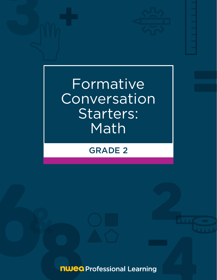

Formative Conversation Starters: **Math** 

# GRADE 2

**nwea** Professional Learning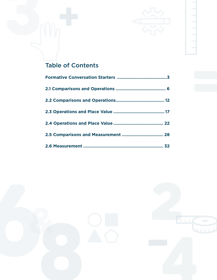

# Table of Contents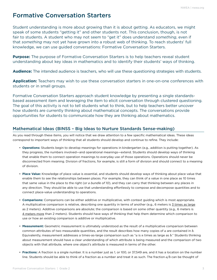# <span id="page-2-0"></span>Formative Conversation Starters

Student understanding is more about growing than it is about getting. As educators, we might speak of some students "getting it" and other students not. This conclusion, though, is not fair to students. A student who may not seem to "get it" does understand *something*, even if that *something* may not yet have grown into a robust web of thinking. To reach students' full knowledge, we can use guided conversations: Formative Conversation Starters.

**Purpose:** The purpose of Formative Conversation Starters is to help teachers reveal student understanding about key ideas in mathematics and to identify their students' ways of thinking.

**Audience:** The intended audience is teachers, who will use these questioning strategies with students.

**Application:** Teachers may wish to use these conversation starters in one-on-one conferences with students or in small groups.

Formative Conversation Starters approach student knowledge by presenting a single standardsbased assessment item and leveraging the item to elicit conversation through clustered questioning. The goal of this activity is not to tell students what to think, but to help teachers better uncover how students are currently thinking about mathematical concepts. The conversations provide opportunities for students to communicate how they are thinking about mathematics.

### Mathematical Ideas (BINSS – Big Ideas to Nurture Standards Sense-making)

As you read through these items, you will notice that we draw attention to a few specific mathematical ideas. These ideas correspond to important ways of thinking that all students should develop and continue to refine. They include:

- **Operations:** Students begin to develop meanings for operations in kindergarten (e.g., addition is putting together). As they progress, the numbers involved—and operational meanings—extend. Students should develop ways of thinking that enable them to connect operation meanings to everyday use of those operations. Operations should never be disconnected from meaning. Division of fractions, for example, is still a form of division and should connect to a meaning of division.
- **Place Value:** Knowledge of place value is essential, and students should develop ways of thinking about place value that enable them to see the relationships between places. For example, they can think of a value in one place as 10 times that same value in the place to the right (*or a bundle of 10*), and they can carry that thinking between any places in any direction. They should be able to use that understanding effortlessly to compose and decompose quantities and to connect place-value understanding to operations.
- **Comparisons:** Comparisons can be either additive or multiplicative, with context guiding which is most appropriate. A multiplicative comparison is relative, describing one quantity in terms of another (e.g., 6 meters is 3 times as large as 2 meters). Additive comparisons are absolute; the comparison is based on some other quantity (e.g., 6 meters is 4 meters more than 2 meters). Students should have ways of thinking that help them determine which comparison to use or how an existing comparison is additive or multiplicative.
- **Measurement:** Geometric measurement is ultimately understood as the result of a multiplicative comparison between common attributes of two measurable quantities, and the result describes how many copies of *a* are contained in *b*. Equivalently, measurement addresses a times-as-large comparison such as "*a* is *n* times as large as *b*." Students thinking about measurement should have a clear understanding of which attribute is being measured and the comparison of two objects with that attribute, where one object's attribute is measured in terms of the other.
- **Fractions:** A fraction is a single number. It is a number just as 1, or 100, or 37,549 are, and it has a location on the number line. Students should be able to think of a fraction as a number and treat it as such. The fraction *a/b* can be thought of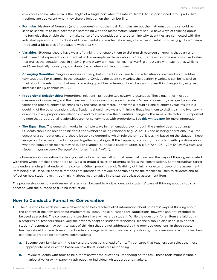as *a* copies of 1/*b*, where 1/*b* is the length of a single part when the interval from 0 to 1 is partitioned into *b* parts. Two fractions are equivalent when they share a location on the number line.

- **Formulas:** Mastery of formulas (and procedures) is not the goal. Formulas are not the mathematics; they should be seen as shortcuts to help accomplish something with the mathematics. Students should have ways of thinking about the formulas that enable them to make sense of the quantities and to determine why quantities are connected with the indicated operations. Students should have mental and mathematical ways to reinvent useful formulas (e.g., *A*=*πr*2 means three-and-a-bit copies of the square with area *r*2).
- **Variables:** Students should have ways of thinking that enable them to distinguish between unknowns that vary and unknowns that represent some fixed value. For example, in the equation 6=3*x*+2, *x* represents some unknown fixed value that makes the equation true. In *y*=3*x*+2, *y* and *x* vary with each other. In *y*=*mx*+*b*, *y* and *x* vary with each other, while *m* and *b* are typically nonvarying constants (parameters) within a problem.
- **Covarying Quantities:** Single quantities can vary, but students also need to consider situations where two quantities vary together. For example, in the equation *y*=3*x*+2, as the quantity *x* varies, the quantity *y* varies. It can be helpful to think about the relationship between covarying quantities in terms of how changes in *x* result in changes in *y* (e.g., as *x* increases by 1, *y* changes by . . .).
- **Proportional Relationships:** Proportional relationships require two covarying quantities. Those quantities must be measurable in some way, and the measures of those quantities scale in tandem. When one quantity changes by a scale factor, the other quantity also changes by the same scale factor. For example, doubling one quantity's value results in a doubling of the other quantity's value. Students should have ways of thinking that allow them to distinguish the two varying quantities in any proportional relationship and to explain how the quantities change by the same scale factor. It is important to note that proportional relationships are not synonymous with proportions. See [this](https://www.nwea.org/resource-library/map-growth-research-guidance/proportional-relationships-decluttered-white-paper-oct20-3) whitepaper for more information.
- **The Equal Sign:** The equal sign works in multiple ways in mathematics, even though the symbol does not change. Students should be able to think about the symbol as being relational (e.g., 2+4=5+1) and as being operational (e.g., the output of a computation), and should be able to determine which role the symbol is playing based on the situation. Keep an eye out for when students may put together equal signs. If this happens, prompting the student with questions about what the equals sign means may help. For example, suppose a student writes: 9 x 8 = 72 = 126 – 72 = 54 (*in this case, the student might be using the equal sign to say "next, I will..."*).

In the Formative Conversation Starters, you will notice that we call out mathematical ideas and the ways of thinking associated with them when it makes sense to do so. We also group discussion prompts to focus the conversations. Some groupings target core understandings that underpin the content. Other groupings elicit flexibility of thinking or extend beyond the assessment item being discussed. All of these methods are intended to provide opportunities for the teacher to listen to students and to reflect on how students might be thinking about mathematics in the standards-based assessment item.

The progressive question-and-answer strategy can be used to elicit evidence of students' ways of thinking about a topic or concept, with the purpose of guiding instruction.

#### **How to Conduct a Formative Conversation**

- **1.** The questions for each item were developed to help teachers elicit information about students' ways of thinking about the content in the item and about mathematical ideas. These questions are suggestions, however, and not intended to be used as a script. The conversations teachers have will vary by student. While the questions for an item are laid out in a progression, teachers should vary the order to adapt to students' responses. Teachers should also keep in mind that students' responses may point to ways of thinking that are not addressed by the provided questions. In these cases, teachers should pursue those student understandings with their own line of questioning. There are several actions teachers can take to prepare for formative conversations:
	- **a.** Become very familiar with the task and the questions ahead of time. This ensures that teachers can select the most appropriate next question based on how the students are responding.
	- **b.** Provide students with tools to help them answer the questions. Depending on the task, these tools might include a manipulative, drawing paper, graph paper, or individual whiteboards and markers.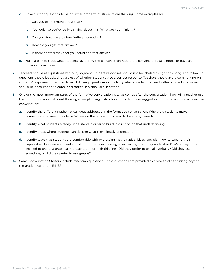- **c.** Have a list of questions to help further probe what students are thinking. Some examples are:
	- **i.** Can you tell me more about that?
	- **ii.** You look like you're really thinking about this. What are you thinking?
	- **iii.** Can you draw me a picture/write an equation?
	- **iv.** How did you get that answer?
	- **v.** Is there another way that you could find that answer?
- **d.** Make a plan to track what students say during the conversation: record the conversation, take notes, or have an observer take notes.
- **2.** Teachers should ask questions without judgment. Student responses should not be labeled as right or wrong, and follow-up questions should be asked regardless of whether students give a correct response. Teachers should avoid commenting on students' responses other than to ask follow-up questions or to clarify what a student has said. Other students, however, should be encouraged to agree or disagree in a small group setting.
- **3.** One of the most important parts of the formative conversation is what comes after the conversation: how will a teacher use the information about student thinking when planning instruction. Consider these suggestions for how to act on a formative conversation:
	- **a.** Identify the different mathematical ideas addressed in the formative conversation. Where did students make connections between the ideas? Where do the connections need to be strengthened?
	- **b.** Identify what students already understand in order to build instruction on that understanding.
	- **c.** Identify areas where students can deepen what they already understand.
	- **d.** Identify ways that students are comfortable with expressing mathematical ideas, and plan how to expand their capabilities. How were students most comfortable expressing or explaining what they understand? Were they more inclined to create a graphical representation of their thinking? Did they prefer to explain verbally? Did they use equations, or did they prefer to use graphs?
- **4.** Some Conversation Starters include extension questions. These questions are provided as a way to elicit thinking beyond the grade-level of the BINSS.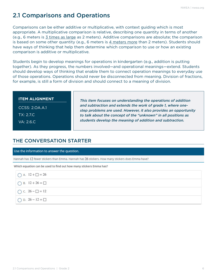# <span id="page-5-0"></span>2.1 Comparisons and Operations

Comparisons can be either additive or multiplicative, with context guiding which is most appropriate. A multiplicative comparison is relative, describing one quantity in terms of another (e.g., 6 meters is 3 times as large as 2 meters). Additive comparisons are absolute; the comparison is based on some other quantity (e.g., 6 meters is  $4$  meters more than 2 meters). Students should have ways of thinking that help them determine which comparison to use or how an existing comparison is additive or multiplicative.

Students begin to develop meanings for operations in kindergarten (e.g., addition is putting together). As they progress, the numbers involved—and operational meanings—extend. Students should develop ways of thinking that enable them to connect operation meanings to everyday use of those operations. Operations should never be disconnected from meaning. Division of fractions, for example, is still a form of division and should connect to a meaning of division.

#### **ITEM ALIGNMENT**

CCSS: 2.OA.A.1 TX: 2.7.C VA: 2.6.C

*This item focuses on understanding the operations of addition and subtraction and extends the work of grade 1, where onestep problems are used. However, it also provides an opportunity to talk about the concept of the "unknown" in all positions as students develop the meaning of addition and subtraction.* 

## THE CONVERSATION STARTER

Use the information to answer the question.

Hannah has 12 fewer stickers than Emma. Hannah has 26 stickers. How many stickers does Emma have?

Which equation can be used to find out how many stickers Emma has?

| $\bigcirc$ A. $12 + \square = 26$ |
|-----------------------------------|
| $\bigcirc$ B. 12 + 26 = $\Box$    |
| ◯ C. $26 - \square = 12$          |
| ◯ D. $26 - 12 = \Box$             |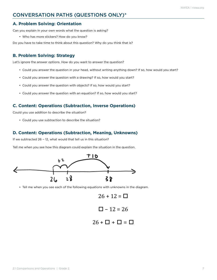### CONVERSATION PATHS (QUESTIONS ONLY)\*

#### **A. Problem Solving: Orientation**

Can you explain in your own words what the question is asking?

• Who has more stickers? How do you know?

Do you have to take time to think about this question? Why do you think that is?

#### **B. Problem Solving: Strategy**

Let's ignore the answer options. How do you want to answer the question?

- Could you answer the question in your head, without writing anything down? If so, how would you start?
- Could you answer the question with a drawing? If so, how would you start?
- Could you answer the question with objects? If so, how would you start?
- Could you answer the question with an equation? If so, how would you start?

#### **C. Content: Operations (Subtraction, Inverse Operations)**

Could you use addition to describe the situation?

• Could you use subtraction to describe the situation?

#### **D. Content: Operations (Subtraction, Meaning, Unknowns)**

If we subtracted 26 − 12, what would that tell us in this situation?

Tell me when you see how this diagram could explain the situation in the question.



• Tell me when you see each of the following equations with unknowns in the diagram.

$$
26 + 12 = \square
$$
  

$$
\square - 12 = 26
$$

$$
26 + \square + \square = \square
$$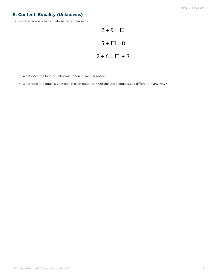### **E. Content: Equality (Unknowns)**

Let's look at some other equations with unknowns.

$$
2 + 9 = \square
$$
  

$$
5 + \square = 8
$$
  

$$
2 + 6 = \square + 3
$$

- What does the box, or unknown, mean in each equation?
- What does the equal sign mean in each equation? Are the three equal signs different in any way?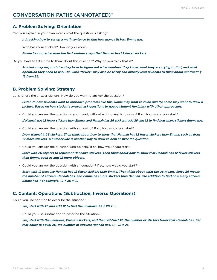### CONVERSATION PATHS (ANNOTATED)\*

#### **A. Problem Solving: Orientation**

Can you explain in your own words what the question is asking?

*It is asking how to set up a math sentence to find how many stickers Emma has.*

• Who has more stickers? How do you know?

*Emma has more because the first sentence says that Hannah has 12 fewer stickers.*

Do you have to take time to think about this question? Why do you think that is?

*Students may respond that they have to figure out what numbers they know, what they are trying to find, and what operation they need to use. The word "fewer" may also be tricky and initially lead students to think about subtracting 12 from 26.*

#### **B. Problem Solving: Strategy**

Let's ignore the answer options. How do you want to answer the question?

*Listen to how students want to approach problems like this. Some may want to think quietly, some may want to draw a picture. Based on how students answer, ask questions to gauge student flexibility with other approaches.*

• Could you answer the question in your head, without writing anything down? If so, how would you start?

*If Hannah has 12 fewer stickers than Emma, and Hannah has 26 stickers, add 26 and 12 to find how many stickers Emma has.*

• Could you answer the question with a drawing? If so, how would you start?

*Draw Hannah's 26 stickers. Then think about how to show that Hannah has 12 fewer stickers than Emma, such as draw 12 more stickers. A number line is another way to draw to help answer the question.*

• Could you answer the question with objects? If so, how would you start?

*Start with 26 objects to represent Hannah's stickers. Then think about how to show that Hannah has 12 fewer stickers than Emma, such as add 12 more objects.*

• Could you answer the question with an equation? If so, how would you start?

*Start with 12 because Hannah has 12 fewer stickers than Emma. Then think about what the 26 means. Since 26 means the number of stickers Hannah has, and Emma has more stickers than Hannah, use addition to find how many stickers Emma has. For example,*  $12 + 26 = \square$ *.* 

#### **C. Content: Operations (Subtraction, Inverse Operations)**

Could you use addition to describe the situation?

*Yes, start with 26 and add 12 to find the unknown. 12 + 26 =*  $\Box$ 

• Could you use subtraction to describe the situation?

*Yes, start with the unknown, Emma's stickers, and then subtract 12, the number of stickers fewer that Hannah has. Set that equal to equal 26, the number of stickers Hannah has.*  $\Box$  - 12 = 26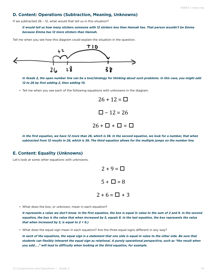#### **D. Content: Operations (Subtraction, Meaning, Unknowns)**

If we subtracted 26 – 12, what would that tell us in this situation?

*It would tell us how many stickers someone with 12 stickers less than Hannah has. That person wouldn't be Emma because Emma has 12 more stickers than Hannah.*

Tell me when you see how this diagram could explain the situation in the question.



*In Grade 2, the open number line can be a tool/strategy for thinking about such problems. In this case, you might add 12 to 26 by first adding 2, then adding 10.* 

• Tell me when you see each of the following equations with unknowns in the diagram.



*In the first equation, we have 12 more than 26, which is 38. In the second equation, we look for a number, that when subtracted from 12 results in 26, which is 38. The third equation allows for the multiple jumps on the number line.*

#### **E. Content: Equality (Unknowns)**

Let's look at some other equations with unknowns.



• What does the box, or unknown, mean in each equation?

*It represents a value we don't know. In the first equation, the box is equal in value to the sum of 2 and 9. In the second equation, the box is the value that when increased by 5, equals 8. In the last equation, the box represents the value that when increased by 3, is equal to 2 + 6.)* 

• What does the equal sign mean in each equation? Are the three equal signs different in any way?

*In each of the equations, the equal sign is a statement that one side is equal in value to the other side. Be sure that students can flexibly interpret the equal sign as relational. A purely operational perspective, such as "the result when you add… ," will lead to difficulty when looking at the third equation, for example.*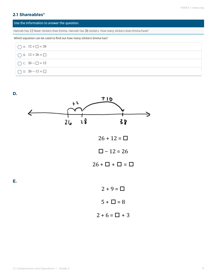### **2.1 Shareables\***

#### Use the information to answer the question.

Hannah has 12 fewer stickers than Emma. Hannah has 26 stickers. How many stickers does Emma have?

Which equation can be used to find out how many stickers Emma has?

| $\bigcirc$ A. $12 + \square = 26$ |  |
|-----------------------------------|--|
| $\bigcirc$ B. 12 + 26 = $\Box$    |  |
| C. $26 - \square = 12$            |  |
| ◯ D. $26 - 12 = \Box$             |  |

**D.**

**E.**

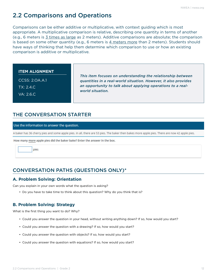# <span id="page-11-0"></span>2.2 Comparisons and Operations

Comparisons can be either additive or multiplicative, with context guiding which is most appropriate. A multiplicative comparison is relative, describing one quantity in terms of another (e.g., 6 meters is 3 times as large as 2 meters). Additive comparisons are absolute; the comparison is based on some other quantity (e.g., 6 meters is 4 meters more than 2 meters). Students should have ways of thinking that help them determine which comparison to use or how an existing comparison is additive or multiplicative.

#### **ITEM ALIGNMENT**

CCSS: 2.OA.A.1

TX: 2.4.C

VA: 2.6.C

*This item focuses on understanding the relationship between quantities in a real-world situation. However, it also provides an opportunity to talk about applying operations to a realworld situation.*

## THE CONVERSATION STARTER

#### Use the information to answer the question.

A baker has 36 cherry pies and some apple pies. In all, there are 53 pies. The baker then bakes more apple pies. There are now 42 apple pies.

How many more apple pies did the baker bake? Enter the answer in the box.



# CONVERSATION PATHS (QUESTIONS ONLY)\*

### **A. Problem Solving: Orientation**

Can you explain in your own words what the question is asking?

• Do you have to take time to think about this question? Why do you think that is?

### **B. Problem Solving: Strategy**

What is the first thing you want to do? Why?

- Could you answer the question in your head, without writing anything down? If so, how would you start?
- Could you answer the question with a drawing? If so, how would you start?
- Could you answer the question with objects? If so, how would you start?
- Could you answer the question with equations? If so, how would you start?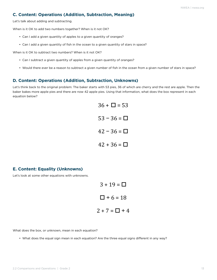#### **C. Content: Operations (Addition, Subtraction, Meaning)**

Let's talk about adding and subtracting.

When is it OK to add two numbers together? When is it not OK?

- Can I add a given quantity of apples to a given quantity of oranges?
- Can I add a given quantity of fish in the ocean to a given quantity of stars in space?

When is it OK to subtract two numbers? When is it not OK?

- Can I subtract a given quantity of apples from a given quantity of oranges?
- Would there ever be a reason to subtract a given number of fish in the ocean from a given number of stars in space?

#### **D. Content: Operations (Addition, Subtraction, Unknowns)**

Let's think back to the original problem: The baker starts with 53 pies, 36 of which are cherry and the rest are apple. Then the baker bakes more apple pies and there are now 42 apple pies. Using that information, what does the box represent in each equation below?

|  | $36 + \Box = 53$ |  |
|--|------------------|--|
|  | $53 - 36 = \Box$ |  |
|  | $42 - 36 = \Box$ |  |
|  | $42 + 36 = \Box$ |  |

#### **E. Content: Equality (Unknowns)**

Let's look at some other equations with unknowns.

$$
3 + 19 = \square
$$
  

$$
\square + 6 = 18
$$
  

$$
2 + 7 = \square + 4
$$

What does the box, or unknown, mean in each equation?

• What does the equal sign mean in each equation? Are the three equal signs different in any way?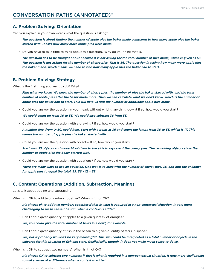#### **A. Problem Solving: Orientation**

Can you explain in your own words what the question is asking?

*The question is about finding the number of apple pies the baker made compared to how many apple pies the baker started with. It asks how many more apple pies were made.*

• Do you have to take time to think about this question? Why do you think that is?

*The question has to be thought about because it is not asking for the total number of pies made, which is given as 53. The question is not asking for the number of cherry pies. That is 36. The question is asking how many more apple pies the baker made, which means we need to find how many apple pies the baker had to start.*

#### **B. Problem Solving: Strategy**

What is the first thing you want to do? Why?

*Find what we know. We know the number of cherry pies, the number of pies the baker started with, and the total number of apple pies after the baker made more. Then we can calculate what we don't know, which is the number of apple pies the baker had to start. This will help us find the number of additional apple pies made.*

• Could you answer the question in your head, without writing anything down? If so, how would you start?

*We could count up from 36 to 53. We could also subtract 36 from 53.*

• Could you answer the question with a drawing? If so, how would you start?

*A number line, from 0–50, could help. Start with a point at 36 and count the jumps from 36 to 53, which is 17. This names the number of apple pies the baker started with.*

• Could you answer the question with objects? If so, how would you start?

*Start with 53 objects and move 36 of them to the side to represent the cherry pies. The remaining objects show the number of apple pies the baker started with.*

• Could you answer the question with equations? If so, how would you start?

*There are many ways to use an equation. One way is to start with the number of cherry pies, 36, and add the unknown for apple pies to equal the total, 53. 36 +*  $\Box$  *= 53* 

#### **C. Content: Operations (Addition, Subtraction, Meaning)**

Let's talk about adding and subtracting.

When is it OK to add two numbers together? When is it not OK?

*It's always ok to add two numbers together if that is what is required in a non-contextual situation. It gets more challenging to make sense of a sum when a context is added.*

• Can I add a given quantity of apples to a given quantity of oranges?

*Yes, this could give the total number of fruits in a bowl, for example.*

• Can I add a given quantity of fish in the ocean to a given quantity of stars in space?

Yes, but it probably wouldn't be very meaningful. This sum could be interpreted as a total number of objects in the *universe for this situation of fish and stars. Realistically, though, it does not make much sense to do so.*

When is it OK to subtract two numbers? When is it not OK?

*It's always OK to subtract two numbers if that is what is required in a non-contextual situation. It gets more challenging to make sense of a difference when a context is added.*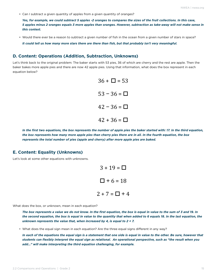• Can I subtract a given quantity of apples from a given quantity of oranges?

*Yes, for example, we could subtract 5 apples -2 oranges to compares the sizes of the fruit collections. In this case, 5 apples minus 2 oranges equals 3 more apples than oranges. However, subtraction as take-away will not make sense in this context.*

• Would there ever be a reason to subtract a given number of fish in the ocean from a given number of stars in space?

*It could tell us how many more stars there are there than fish, but that probably isn't very meaningful.*

#### **D. Content: Operations (Addition, Subtraction, Unknowns)**

Let's think back to the original problem: The baker starts with 53 pies, 36 of which are cherry and the rest are apple. Then the baker bakes more apple pies and there are now 42 apple pies. Using that information, what does the box represent in each equation below?



*In the first two equations, the box represents the number of apple pies the baker started with: 17. In the third equation, the box represents how many more apple pies than cherry pies there are in all. In the fourth equation, the box represents the total number of pies (apple and cherry) after more apple pies are baked.*

#### **E. Content: Equality (Unknowns)**

Let's look at some other equations with unknowns.

 $3 + 19 = \Box$  $\Box$  + 6 = 18  $2 + 7 = \Box + 4$ 

What does the box, or unknown, mean in each equation?

*The box represents a value we do not know. In the first equation, the box is equal in value to the sum of 3 and 19. In the second equation, the box is equal in value to the quantity that when added to 6 equals 18. In the last equation, the unknown represents the value that, when increased by 4, is equal to 2 + 7.*

• What does the equal sign mean in each equation? Are the three equal signs different in any way?

*In each of the equations the equal sign is a statement that one side is equal in value to the other. Be sure, however that students can flexibly interpret the equal sign as relational. An operational perspective, such as "the result when you add…" will make interpreting the third equation challenging, for example.*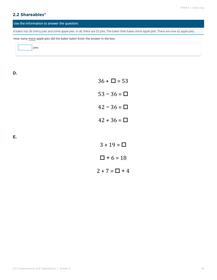### **2.2 Shareables\***

#### Use the information to answer the question.

A baker has 36 cherry pies and some apple pies. In all, there are 53 pies. The baker then bakes more apple pies. There are now 42 apple pies.

How many more apple pies did the baker bake? Enter the answer in the box.

pies

**D.** 

**E.** 

| $36 + \Box = 53$ |
|------------------|
| $53 - 36 = \Box$ |
| $42 - 36 = \Box$ |
| $42 + 36 = \Box$ |
|                  |
| $3 + 19 = \Box$  |

 $\Box$  + 6 = 18

 $2 + 7 = \Box + 4$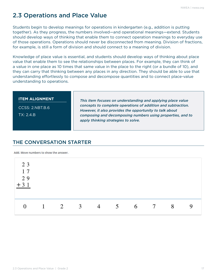# <span id="page-16-0"></span>2.3 Operations and Place Value

Students begin to develop meanings for operations in kindergarten (e.g., addition is putting together). As they progress, the numbers involved—and operational meanings—extend. Students should develop ways of thinking that enable them to connect operation meanings to everyday use of those operations. Operations should never be disconnected from meaning. Division of fractions, for example, is still a form of division and should connect to a meaning of division.

Knowledge of place value is essential, and students should develop ways of thinking about place value that enable them to see the relationships between places. For example, they can think of a value in one place as 10 times that same value in the place to the right (or a bundle of 10), and they can carry that thinking between any places in any direction. They should be able to use that understanding effortlessly to compose and decompose quantities and to connect place-value understanding to operations.

CCSS: 2.NBT.B.6 TX: 2.4.B

*This item focuses on understanding and applying place value concepts to complete operations of addition and subtraction. However, it also provides the opportunity to talk about composing and decomposing numbers using properties, and to apply thinking strategies to solve.*

# THE CONVERSATION STARTER

Add. Move numbers to show the answer.

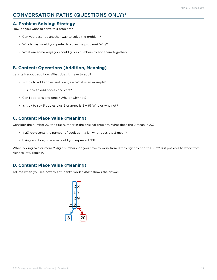## CONVERSATION PATHS (QUESTIONS ONLY)\*

#### **A. Problem Solving: Strategy**

How do you want to solve this problem?

- Can you describe another way to solve the problem?
- Which way would you prefer to solve the problem? Why?
- What are some ways you could group numbers to add them together?

#### **B. Content: Operations (Addition, Meaning)**

Let's talk about addition. What does it mean to add?

- Is it ok to add apples and oranges? What is an example?
	- Is it ok to add apples and cars?
- Can I add tens and ones? Why or why not?
- $\cdot$  Is it ok to say 5 apples plus 6 oranges is  $5 + 6$ ? Why or why not?

#### **C. Content: Place Value (Meaning)**

Consider the number 23, the first number in the original problem. What does the 2 mean in 23?

- If 23 represents the number of cookies in a jar, what does the 2 mean?
- Using addition, how else could you represent 23?

When adding two or more 2-digit numbers, do you have to work from left to right to find the sum? Is it possible to work from right to left? Explain.

#### **D. Content: Place Value (Meaning)**

Tell me when you see how this student's work *almost* shows the answer.

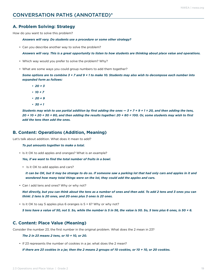#### **A. Problem Solving: Strategy**

How do you want to solve this problem?

*Answers will vary. Do students use a procedure or some other strategy?*

• Can you describe another way to solve the problem?

*Answers will vary. This is a great opportunity to listen to how students are thinking about place value and operations.*

- Which way would you prefer to solve the problem? Why?
- What are some ways you could group numbers to add them together?

*Some options are to combine 3 + 7 and 9 + 1 to make 10. Students may also wish to decompose each number into expanded form as follows:*

- *• 20 + 3*
- *• 10 + 7*
- *• 20 + 9*
- *• 30 + 1*

*Students may wish to use partial addition by first adding the ones — 3 + 7 + 9 + 1 = 20, and then adding the tens, 20 + 10 + 20 + 30 = 80, and then adding the results together: 20 + 80 = 100. Or, some students may wish to first add the tens then add the ones.*

#### **B. Content: Operations (Addition, Meaning)**

Let's talk about addition. What does it mean to add?

#### *To put amounts together to make a total.*

• Is it OK to add apples and oranges? What is an example?

*Yes, if we want to find the total number of fruits in a bowl.*

• Is it OK to add apples and cars?

*It can be OK, but it may be strange to do so. If someone saw a parking lot that had only cars and apples in it and wondered how many total things were on the lot, they could add the apples and cars.*

• Can I add tens and ones? Why or why not?

*Not directly, but you can think about the tens as a number of ones and then add. To add 2 tens and 3 ones you can think: 2 tens is 20 ones, and 20 ones plus 3 ones is 23 ones.*

• Is it OK to say 5 apples plus 6 oranges is 5 + 6? Why or why not?

*5 tens have a value of 50, not 5. So, while the number is 5 in 56, the value is 50. So, 5 tens plus 6 ones, is 50 + 6.* 

#### **C. Content: Place Value (Meaning)**

Consider the number 23, the first number in the original problem. What does the 2 mean in 23?

*The 2 in 23 means 2 tens, or 10 + 10, or 20.* 

• If 23 represents the number of cookies in a jar, what does the 2 mean?

*If there are 23 cookies in a jar, then the 2 means 2 groups of 10 cookies, or 10 + 10, or 20 cookies.*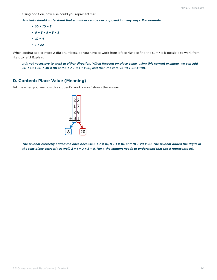• Using addition, how else could you represent 23?

*Students should understand that a number can be decomposed in many ways. For example:*

- *• 10 + 10 + 3 • 5 + 5 + 5 + 5 + 3 • 19 + 4*
- *• 1 + 22*

When adding two or more 2-digit numbers, do you have to work from left to right to find the sum? Is it possible to work from right to left? Explain.

*It is not necessary to work in either direction. When focused on place value, using this current example, we can add 20 + 10 + 20 + 30 = 80 and 3 + 7 + 9 + 1 = 20, and then the total is 80 + 20 = 100.*

#### **D. Content: Place Value (Meaning)**

Tell me when you see how this student's work *almost* shows the answer.



*The student correctly added the ones because 3 + 7 = 10, 9 + 1 = 10, and 10 + 20 = 20. The student added the digits in the tens place correctly as well. 2 + 1 + 2 + 3 = 8. Next, the student needs to understand that the 8 represents 80.*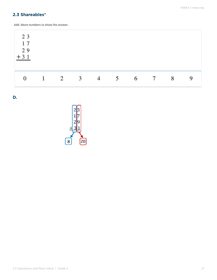### **2.3 Shareables\***

Add. Move numbers to show the answer.

| 23<br>17<br>29<br>$+31$ |              |   |                |                |   |     |   |   |
|-------------------------|--------------|---|----------------|----------------|---|-----|---|---|
| $\overline{0}$          | $\mathbf{1}$ | 2 | $\overline{3}$ | $\overline{4}$ | 5 | 6 7 | 8 | 9 |

**D.**

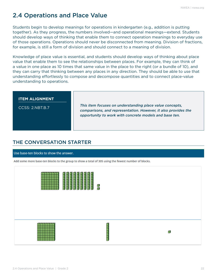# <span id="page-21-0"></span>2.4 Operations and Place Value

Students begin to develop meanings for operations in kindergarten (e.g., addition is putting together). As they progress, the numbers involved—and operational meanings—extend. Students should develop ways of thinking that enable them to connect operation meanings to everyday use of those operations. Operations should never be disconnected from meaning. Division of fractions, for example, is still a form of division and should connect to a meaning of division.

Knowledge of place value is essential, and students should develop ways of thinking about place value that enable them to see the relationships between places. For example, they can think of a value in one place as 10 times that same value in the place to the right (or a bundle of 10), and they can carry that thinking between any places in any direction. They should be able to use that understanding effortlessly to compose and decompose quantities and to connect place-value understanding to operations.

| <b>ITEM ALIGNMENT</b><br>CCSS: 2.NBT.B.7 | This item focuses on understanding place value concepts,<br>comparisons, and representation. However, it also provides the<br>opportunity to work with concrete models and base ten. |
|------------------------------------------|--------------------------------------------------------------------------------------------------------------------------------------------------------------------------------------|
|                                          |                                                                                                                                                                                      |

## THE CONVERSATION STARTER

#### Use base-ten blocks to show the answer.

Add some more base-ten blocks to the group to show a total of 305 using the fewest number of blocks.

| <b>THEFFER</b><br>π<br>π<br><u>The People </u> | <u>THEFFER P</u><br><u>ininini</u><br>a<br>F |   |
|------------------------------------------------|----------------------------------------------|---|
|                                                | l<br>П<br>ļ                                  | ₫ |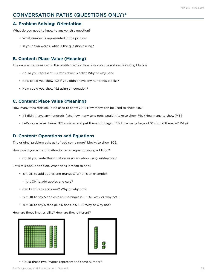## CONVERSATION PATHS (QUESTIONS ONLY)\*

### **A. Problem Solving: Orientation**

What do you need to know to answer this question?

- What number is represented in the picture?
- In your own words, what is the question asking?

### **B. Content: Place Value (Meaning)**

The number represented in the problem is 192. How else could you show 192 using blocks?

- Could you represent 192 with fewer blocks? Why or why not?
- How could you show 192 if you didn't have any hundreds blocks?
- How could you show 192 using an equation?

#### **C. Content: Place Value (Meaning)**

How many tens rods could be used to show 740? How many can be used to show 745?

- If I didn't have any hundreds flats, how many tens rods would it take to show 740? How many to show 745?
- Let's say a baker baked 375 cookies and put them into bags of 10. How many bags of 10 should there be? Why?

#### **D. Content: Operations and Equations**

The original problem asks us to "add some more" blocks to show 305.

How could you write this situation as an equation using addition?

• Could you write this situation as an equation using subtraction?

Let's talk about addition. What does it mean to add?

- Is it OK to add apples and oranges? What is an example?
	- Is it OK to add apples and cars?
- Can I add tens and ones? Why or why not?
- Is it OK to say 5 apples plus 6 oranges is 5 + 6? Why or why not?
- Is it OK to say 5 tens plus 6 ones is 5 + 6? Why or why not?

How are these images alike? How are they different?





• Could these two images represent the same number?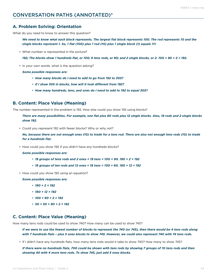### CONVERSATION PATHS (ANNOTATED)\*

#### **A. Problem Solving: Orientation**

What do you need to know to answer this question?

*We need to know what each block represents. The largest flat block represents 100. The rod represents 10 and the single blocks represent 1. So, 1 flat (100) plus 1 rod (10) plus 1 single block (1) equals 111.*

• What number is represented in the picture?

*192; The blocks show 1 hundreds flat, or 100; 9 tens rods, or 90; and 2 single blocks, or 2. 100 + 90 + 2 = 192.*

• In your own words, what is the question asking?

*Some possible responses are:*

- *• How many blocks do I need to add to go from 192 to 305?*
- *• If I show 305 in blocks, how will it look different from 192?*
- *• How many hundreds, tens, and ones do I need to add to 192 to equal 305?*

#### **B. Content: Place Value (Meaning)**

The number represented in the problem is 192. How else could you show 192 using blocks?

*There are many possibilities. For example, one flat plus 80 rods plus 12 single blocks. Also, 19 rods and 2 single blocks show 192.*

• Could you represent 192 with fewer blocks? Why or why not?

*No, because there are not enough ones (10) to trade for a tens rod. There are also not enough tens rods (10) to trade for a hundreds flat.*

• How could you show 192 if you didn't have any hundreds blocks?

#### *Some possible responses are:*

- *• 19 groups of tens rods and 2 ones = 19 tens = 100 + 90. 190 + 2 = 192*
- *• 18 groups of ten rods and 12 ones = 18 tens = 100 + 80. 180 + 12 = 192*
- How could you show 192 using an equation?

*Some possible responses are:*

- *• 190 + 2 = 192*
- *• 180 + 12 = 192*
- *• 100 + 90 + 2 = 192*
- *• 50 + 50 + 90 + 2 = 192*

#### **C. Content: Place Value (Meaning)**

How many tens rods could be used to show 740? How many can be used to show 745?

*If we were to use the fewest number of blocks to represent the 740 (or 745), then there would be 4 tens rods along with 7 hundreds flats – plus 5 ones blocks to show 745. However, we could also represent 740 with 74 tens rods.* 

• If I didn't have any hundreds flats, how many tens rods would it take to show 740? How many to show 745?

*If there were no hundreds flats, 700 could be shown with tens rods by showing 7 groups of 10 tens rods and then showing 40 with 4 more tens rods. To show 745, just add 5 ones blocks.*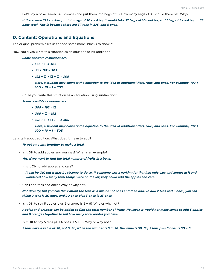• Let's say a baker baked 375 cookies and put them into bags of 10. How many bags of 10 should there be? Why?

*If there were 375 cookies put into bags of 10 cookies, it would take 37 bags of 10 cookies, and 1 bag of 5 cookies, or 38 bags total. This is because there are 37 tens in 375, and 5 ones.*

#### **D. Content: Operations and Equations**

The original problem asks us to "add some more" blocks to show 305.

How could you write this situation as an equation using addition?

*Some possible responses are:*

- *• 192 + = 305*
- $\cdot \square$  + 192 = 305
- $\cdot$  **192** +  $\Box$  +  $\Box$  +  $\Box$  = 305

*Here, a student may connect the equation to the idea of additional flats, rods, and ones. For example, 192 + 100 + 10 + 1 = 305.*

• Could you write this situation as an equation using subtraction?

*Some possible responses are:*

- *• 305 − 192 =*
- *• 305 − = 192*
- $\cdot$  **192 +**  $\Box$  **+**  $\Box$  **+**  $\Box$  **= 305**

*Here, a student may connect the equation to the idea of additional flats, rods, and ones. For example, 192 + 100 + 10 + 1 = 305.*

Let's talk about addition. What does it mean to add?

#### *To put amounts together to make a total.*

• Is it OK to add apples and oranges? What is an example?

*Yes, if we want to find the total number of fruits in a bowl.*

• Is it OK to add apples and cars?

*It can be OK, but it may be strange to do so. If someone saw a parking lot that had only cars and apples in it and wondered how many total things were on the lot, they could add the apples and cars.*

• Can I add tens and ones? Why or why not?

*Not directly, but you can think about the tens as a number of ones and then add. To add 2 tens and 3 ones, you can think: 2 tens is 20 ones, and 20 ones plus 3 ones is 23 ones.*

• Is it OK to say 5 apples plus 6 oranges is 5 + 6? Why or why not?

*Apples and oranges can be added to find the total number of fruits. However, it would not make sense to add 5 apples and 6 oranges together to tell how many total apples you have.*

• Is it OK to say 5 tens plus 6 ones is 5 + 6? Why or why not?

*5 tens have a value of 50, not 5. So, while the number is 5 in 56, the value is 50. So, 5 tens plus 6 ones is 50 + 6.*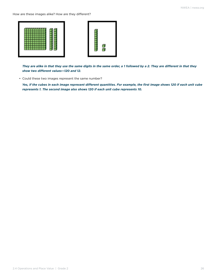How are these images alike? How are they different?





*They are alike in that they use the same digits in the same order, a 1 followed by a 2. They are different in that they show two different values—120 and 12.*

• Could these two images represent the same number?

*Yes, if the cubes in each image represent different quantities. For example, the first image shows 120 if each unit cube represents 1. The second image also shows 120 if each unit cube represents 10.*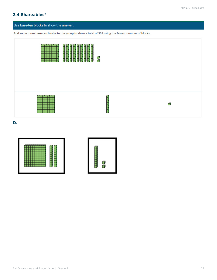### **2.4 Shareables\***

#### Use base-ten blocks to show the answer.

Add some more base-ten blocks to the group to show a total of 305 using the fewest number of blocks.



**D.**

|--|--|--|

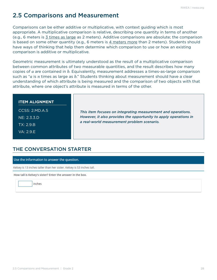# <span id="page-27-0"></span>2.5 Comparisons and Measurement

Comparisons can be either additive or multiplicative, with context guiding which is most appropriate. A multiplicative comparison is relative, describing one quantity in terms of another (e.g., 6 meters is 3 times as large as 2 meters). Additive comparisons are absolute; the comparison is based on some other quantity (e.g., 6 meters is 4 meters more than 2 meters). Students should have ways of thinking that help them determine which comparison to use or how an existing comparison is additive or multiplicative.

Geometric measurement is ultimately understood as the result of a multiplicative comparison between common attributes of two measurable quantities, and the result describes how many copies of *a* are contained in *b*. Equivalently, measurement addresses a times-as-large comparison such as "*a* is *n* times as large as *b*." Students thinking about measurement should have a clear understanding of which attribute is being measured and the comparison of two objects with that attribute, where one object's attribute is measured in terms of the other.

#### **ITEM ALIGNMENT**

CCSS: 2.MD.A.5 NE: 2.3.3.D TX: 2.9.B VA: 2.9.E

*This item focuses on integrating measurement and operations. However, it also provides the opportunity to apply operations in a real-world measurement problem scenario.* 

## THE CONVERSATION STARTER

Use the information to answer the question.

Kelsey is 13 inches taller than her sister. Kelsey is 53 inches tall.

How tall is Kelsey's sister? Enter the answer in the box.

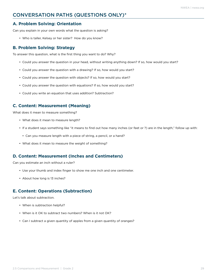## CONVERSATION PATHS (QUESTIONS ONLY)\*

### **A. Problem Solving: Orientation**

Can you explain in your own words what the question is asking?

• Who is taller, Kelsey or her sister? How do you know?

### **B. Problem Solving: Strategy**

To answer this question, what is the first thing you want to do? Why?

- Could you answer the question in your head, without writing anything down? If so, how would you start?
- Could you answer the question with a drawing? If so, how would you start?
- Could you answer the question with objects? If so, how would you start?
- Could you answer the question with equations? If so, how would you start?
- Could you write an equation that uses addition? Subtraction?

### **C. Content: Measurement (Meaning)**

What does it mean to measure something?

- What does it mean to measure length?
- If a student says something like "it means to find out how many inches (or feet or ?) are in the length," follow up with:
	- Can you measure length with a piece of string, a pencil, or a hand?
- What does it mean to measure the weight of something?

#### **D. Content: Measurement (Inches and Centimeters)**

Can you estimate an inch without a ruler?

- Use your thumb and index finger to show me one inch and one centimeter.
- About how long is 13 inches?

#### **E. Content: Operations (Subtraction)**

Let's talk about subtraction.

- When is subtraction helpful?
- When is it OK to subtract two numbers? When is it not OK?
- Can I subtract a given quantity of apples from a given quantity of oranges?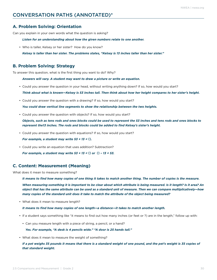### CONVERSATION PATHS (ANNOTATED)\*

#### **A. Problem Solving: Orientation**

Can you explain in your own words what the question is asking?

*Listen for an understanding about how the given numbers relate to one another.*

• Who is taller, Kelsey or her sister? How do you know?

*Kelsey is taller than her sister. The problems states, "Kelsey is 13 inches taller than her sister."*

#### **B. Problem Solving: Strategy**

To answer this question, what is the first thing you want to do? Why?

*Answers will vary. A student may want to draw a picture or write an equation.*

- Could you answer the question in your head, without writing anything down? If so, how would you start? *Think about what is known—Kelsey is 53 inches tall. Then think about how her height compares to her sister's height.*
- Could you answer the question with a drawing? If so, how would you start?

*You could draw vertical line segments to show the relationship between the two heights.*

• Could you answer the question with objects? If so, how would you start?

*Objects, such as tens rods and ones blocks could be used to represent the 53 inches and tens rods and ones blocks to represent the13 inches. The rods and blocks could be added to find Kelsey's sister's height.* 

• Could you answer the question with equations? If so, how would you start?

*For example, a student may write*  $53 + 13 = \square$ *.* 

• Could you write an equation that uses addition? Subtraction?

*For example, a student may write*  $53 + 13 = \Box$  *or*  $\Box$  *- 13 = 53.* 

#### **C. Content: Measurement (Meaning)**

What does it mean to measure something?

*It means to find how many copies of one thing it takes to match another thing. The number of copies is the measure.*

*When measuring something it is important to be clear about which attribute is being measured. Is it length? Is it area? An object that has the same attribute can be used as a standard unit of measure. Then we can compare multiplicatively—how many copies of the standard unit does it take to match the attribute of the object being measured?* 

• What does it mean to measure length?

*It means to find how many copies of one length—a distance—it takes to match another length.*

- If a student says something like "it means to find out how many inches (or feet or ?) are in the length," follow up with:
	- Can you measure length with a piece of string, a pencil, or a hand?

*Yes. For example, "A desk is 4 pencils wide." "A door is 25 hands tall."*

• What does it mean to measure the weight of something?

If a pet weighs 35 pounds it means that there is a standard weight of one pound, and the pet's weight is 35 copies of *that standard weight.*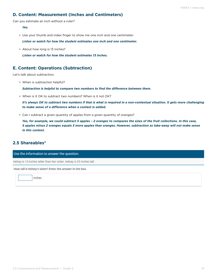### **D. Content: Measurement (Inches and Centimeters)**

Can you estimate an inch without a ruler?

*Yes.*

• Use your thumb and index finger to show me one inch and one centimeter.

*Listen or watch for how the student estimates one inch and one centimeter.*

• About how long is 13 inches?

*Listen or watch for how the student estimates 13 inches.*

#### **E. Content: Operations (Subtraction)**

Let's talk about subtraction.

• When is subtraction helpful?

*Subtraction is helpful to compare two numbers to find the difference between them.*

• When is it OK to subtract two numbers? When is it not OK?

*It's always OK to subtract two numbers if that is what is required in a non-contextual situation. It gets more challenging to make sense of a difference when a context is added.*

• Can I subtract a given quantity of apples from a given quantity of oranges?

*Yes, for example, we could subtract 5 apples – 2 oranges to compares the sizes of the fruit collections. In this case, 5 apples minus 2 oranges equals 3 more apples than oranges. However, subtraction as take-away will not make sense in this context.*

#### **2.5 Shareables\***

Use the information to answer the question.

Kelsey is 13 inches taller than her sister. Kelsey is 53 inches tall.

How tall is Kelsey's sister? Enter the answer in the box.

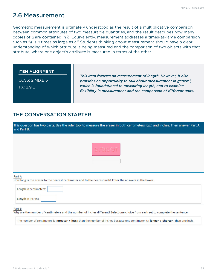# <span id="page-31-0"></span>2.6 Measurement

Geometric measurement is ultimately understood as the result of a multiplicative comparison between common attributes of two measurable quantities, and the result describes how many copies of *a* are contained in *b*. Equivalently, measurement addresses a times-as-large comparison such as "*a* is *n* times as large as *b*." Students thinking about measurement should have a clear understanding of which attribute is being measured and the comparison of two objects with that attribute, where one object's attribute is measured in terms of the other.

#### **ITEM ALIGNMENT**

CCSS: 2.MD.B.5 TX: 2.9.E

*This item focuses on measurement of length. However, it also provides an opportunity to talk about measurement in general, which is foundational to measuring length, and to examine flexibility in measurement and the comparison of different units.* 

## THE CONVERSATION STARTER

| This question has two parts. Use the ruler tool to measure the eraser in both centimeters (cm) and inches. Then answer Part A<br>and Part B. |
|----------------------------------------------------------------------------------------------------------------------------------------------|
|                                                                                                                                              |
| Part A<br>How long is the eraser to the nearest centimeter and to the nearest inch? Enter the answers in the boxes.                          |
| Length in centimeters:                                                                                                                       |
| Length in inches:                                                                                                                            |

#### Part B

Why are the number of centimeters and the number of inches different? Select one choice from each set to complete the sentence.

The number of centimeters is [greater  $\prime$  less] than the number of inches because one centimeter is [longer  $\prime$  shorter] than one inch.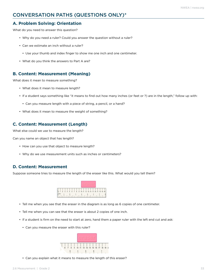### CONVERSATION PATHS (QUESTIONS ONLY)\*

#### **A. Problem Solving: Orientation**

What do you need to answer this question?

- Why do you need a ruler? Could you answer the question without a ruler?
- Can we estimate an inch without a ruler?
	- Use your thumb and index finger to show me one inch and one centimeter.
- What do you think the answers to Part A are?

#### **B. Content: Measurement (Meaning)**

What does it mean to measure something?

- What does it mean to measure length?
- If a student says something like "it means to find out how many inches (or feet or ?) are in the length," follow up with:
	- Can you measure length with a piece of string, a pencil, or a hand?
- What does it mean to measure the weight of something?

#### **C. Content: Measurement (Length)**

What else could we use to measure the length?

Can you name an object that has length?

- How can you use that object to measure length?
- Why do we use measurement units such as inches or centimeters?

#### **D. Content: Measurement**

Suppose someone tries to measure the length of the eraser like this. What would you tell them?



- Tell me when you see that the eraser in the diagram is as long as 6 copies of one centimeter.
- Tell me when you can see that the eraser is about 2 copies of one inch.
- If a student is firm on the need to start at zero, hand them a paper ruler with the left end cut and ask:
	- Can you measure the eraser with this ruler?



• Can you explain what it means to measure the length of this eraser?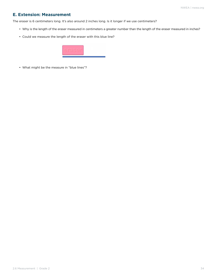### **E. Extension: Measurement**

The eraser is 6 centimeters long. It's also around 2 inches long. Is it longer if we use centimeters?

- Why is the length of the eraser measured in centimeters a greater number than the length of the eraser measured in inches?
- Could we measure the length of the eraser with this blue line?



• What might be the measure in "blue lines"?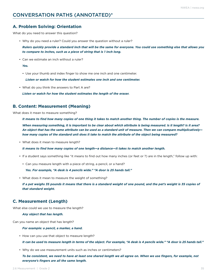#### **A. Problem Solving: Orientation**

What do you need to answer this question?

• Why do you need a ruler? Could you answer the question without a ruler?

*Rulers quickly provide a standard inch that will be the same for everyone. You could use something else that allows you to compare to inches, such as a piece of string that is 1 inch long.*

• Can we estimate an inch without a ruler?

*Yes.*

• Use your thumb and index finger to show me one inch and one centimeter.

*Listen or watch for how the student estimates one inch and one centimeter.*

• What do you think the answers to Part A are?

*Listen or watch for how the student estimates the length of the eraser.*

#### **B. Content: Measurement (Meaning)**

What does it mean to measure something?

*It means to find how many copies of one thing it takes to match another thing. The number of copies is the measure.*

*When measuring something, it is important to be clear about which attribute is being measured. Is it length? Is it area? An object that has the same attribute can be used as a standard unit of measure. Then we can compare multiplicatively how many copies of the standard unit does it take to match the attribute of the object being measured?* 

• What does it mean to measure length?

*It means to find how many copies of one length—a distance—it takes to match another length.*

- If a student says something like "it means to find out how many inches (or feet or ?) are in the length," follow up with:
	- Can you measure length with a piece of string, a pencil, or a hand?

*Yes. For example, "A desk is 4 pencils wide." "A door is 25 hands tall."*

• What does it mean to measure the weight of something?

If a pet weighs 35 pounds it means that there is a standard weight of one pound, and the pet's weight is 35 copies of *that standard weight.* 

#### **C. Measurement (Length)**

What else could we use to measure the length?

#### *Any object that has length.*

Can you name an object that has length?

#### *For example: a pencil, a marker, a hand.*

• How can you use that object to measure length?

*It can be used to measure length in terms of the object. For example, "A desk is 4 pencils wide." "A door is 25 hands tall."*

• Why do we use measurement units such as inches or centimeters?

*To be consistent, we need to have at least one shared length we all agree on. When we use fingers, for example, not everyone's fingers are all the same length.*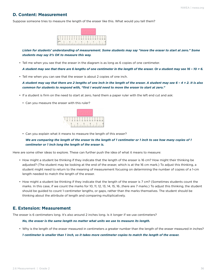### **D. Content: Measurement**

Suppose someone tries to measure the length of the eraser like this. What would you tell them?



*Listen for students' understanding of measurement. Some students may say "move the eraser to start at zero." Some students may say it's OK to measure this way.*

• Tell me when you see that the eraser in the diagram is as long as 6 copies of one centimeter.

*A student may see that there are 6 lengths of one centimeter in the length of the eraser. Or a student may see 16 – 10 = 6.*

• Tell me when you can see that the eraser is about 2 copies of one inch.

*A student may say that there are 2 lengths of one inch in the length of the eraser. A student may see 6 – 4 = 2. It is also common for students to respond with, "first I would need to move the eraser to start at zero."*

- If a student is firm on the need to start at zero, hand them a paper ruler with the left end cut and ask:
	- Can you measure the eraser with this ruler?



• Can you explain what it means to measure the length of this eraser?

#### *We are comparing the length of the eraser to the length of 1 centimeter or 1 inch to see how many copies of 1 centimeter or 1 inch long the length of the eraser is.*

Here are some other ideas to explore. These can further push the idea of what it means to measure:

- How might a student be thinking if they indicate that the length of the eraser is 16 cm? How might their thinking be adjusted? (The student may be looking at the end of the eraser, which is at the 16 cm mark.) To adjust this thinking, a student might need to return to the meaning of measurement focusing on determining the number of copies of a 1-cm length needed to match the length of the eraser.
- How might a student be thinking if they indicate that the length of the eraser is 7 cm? (Sometimes students count the marks. In this case, if we count the marks for 10, 11, 12, 13, 14, 15, 16...there are 7 marks.) To adjust this thinking, the student should be guided to count 1-centimeter lengths, or gaps, rather than the marks themselves. The student should be thinking about the attribute of length and comparing multiplicatively.

#### **E. Extension: Measurement**

The eraser is 6 centimeters long. It's also around 2 inches long. Is it longer if we use centimeters?

#### *No, the eraser is the same length no matter what units we use to measure its length.*

• Why is the length of the eraser measured in centimeters a greater number than the length of the eraser measured in inches?

*1 centimeter is smaller than 1 inch, so it takes more centimeter copies to match the length of the eraser.*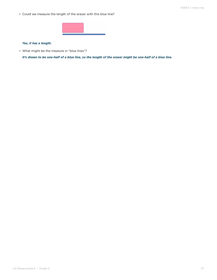• Could we measure the length of the eraser with this blue line?



#### *Yes, it has a length.*

• What might be the measure in "blue lines"?

*It's drawn to be one-half of a blue line, so the length of the eraser might be one-half of a blue line.*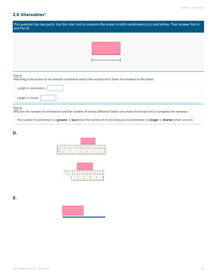### **2.6 Shareables\***

| This question has two parts. Use the ruler tool to measure the eraser in both centimeters (cm) and inches. Then answer Part A<br>and Part B. |
|----------------------------------------------------------------------------------------------------------------------------------------------|
|                                                                                                                                              |
| Part A<br>How long is the eraser to the nearest centimeter and to the nearest inch? Enter the answers in the boxes.                          |
| Length in centimeters:                                                                                                                       |
| Length in inches:                                                                                                                            |

#### Part B

Why are the number of centimeters and the number of inches different? Select one choice from each set to complete the sentence.

The number of centimeters is [greater / less] than the number of inches because one centimeter is [longer / shorter] than one inch.

#### **D.**

| 2 1 2 3 4 5 6 7 8 9 10 11 12 13 14 15 16 17 18 19 20 |  |  |  |  |                      |  |  |  |  |  |  |  |  |
|------------------------------------------------------|--|--|--|--|----------------------|--|--|--|--|--|--|--|--|
| inches                                               |  |  |  |  | $\frac{1}{\sqrt{2}}$ |  |  |  |  |  |  |  |  |



**E.**